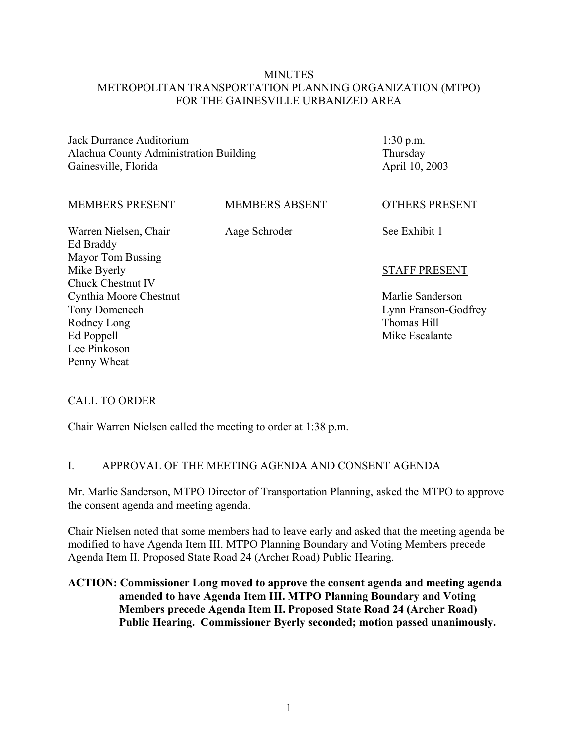### **MINUTES** METROPOLITAN TRANSPORTATION PLANNING ORGANIZATION (MTPO) FOR THE GAINESVILLE URBANIZED AREA

Jack Durrance Auditorium Alachua County Administration Building Gainesville, Florida

1:30 p.m. Thursday April 10, 2003

#### MEMBERS PRESENT

MEMBERS ABSENT

Warren Nielsen, Chair Ed Braddy Mayor Tom Bussing Mike Byerly Chuck Chestnut IV Cynthia Moore Chestnut Tony Domenech Rodney Long Ed Poppell Lee Pinkoson Penny Wheat

Aage Schroder

OTHERS PRESENT

See Exhibit 1

#### STAFF PRESENT

Marlie Sanderson Lynn Franson-Godfrey Thomas Hill Mike Escalante

### CALL TO ORDER

Chair Warren Nielsen called the meeting to order at 1:38 p.m.

### I. APPROVAL OF THE MEETING AGENDA AND CONSENT AGENDA

Mr. Marlie Sanderson, MTPO Director of Transportation Planning, asked the MTPO to approve the consent agenda and meeting agenda.

Chair Nielsen noted that some members had to leave early and asked that the meeting agenda be modified to have Agenda Item III. MTPO Planning Boundary and Voting Members precede Agenda Item II. Proposed State Road 24 (Archer Road) Public Hearing.

## **ACTION: Commissioner Long moved to approve the consent agenda and meeting agenda amended to have Agenda Item III. MTPO Planning Boundary and Voting Members precede Agenda Item II. Proposed State Road 24 (Archer Road) Public Hearing. Commissioner Byerly seconded; motion passed unanimously.**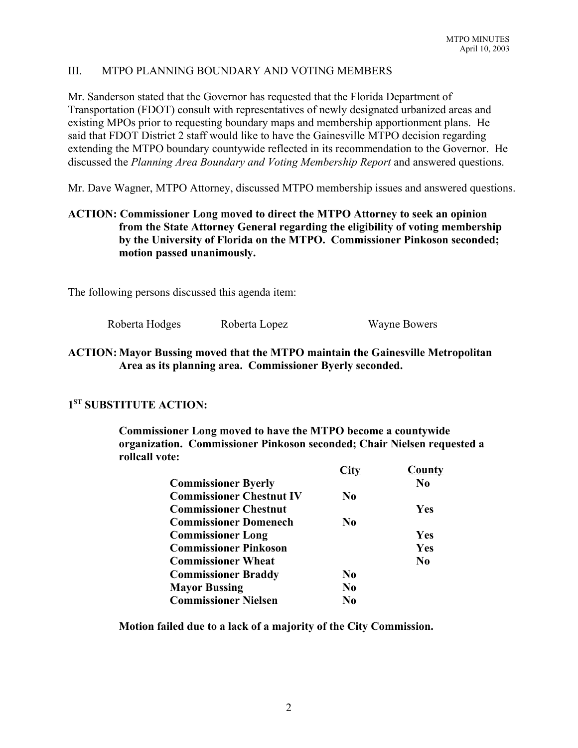## III. MTPO PLANNING BOUNDARY AND VOTING MEMBERS

Mr. Sanderson stated that the Governor has requested that the Florida Department of Transportation (FDOT) consult with representatives of newly designated urbanized areas and existing MPOs prior to requesting boundary maps and membership apportionment plans. He said that FDOT District 2 staff would like to have the Gainesville MTPO decision regarding extending the MTPO boundary countywide reflected in its recommendation to the Governor. He discussed the *Planning Area Boundary and Voting Membership Report* and answered questions.

Mr. Dave Wagner, MTPO Attorney, discussed MTPO membership issues and answered questions.

# **ACTION: Commissioner Long moved to direct the MTPO Attorney to seek an opinion from the State Attorney General regarding the eligibility of voting membership by the University of Florida on the MTPO. Commissioner Pinkoson seconded; motion passed unanimously.**

The following persons discussed this agenda item:

Roberta Hodges Roberta Lopez Wayne Bowers

## **ACTION: Mayor Bussing moved that the MTPO maintain the Gainesville Metropolitan Area as its planning area. Commissioner Byerly seconded.**

# **1ST SUBSTITUTE ACTION:**

**Commissioner Long moved to have the MTPO become a countywide organization. Commissioner Pinkoson seconded; Chair Nielsen requested a rollcall vote:**

|                                 |                | <b>County</b>  |
|---------------------------------|----------------|----------------|
| <b>Commissioner Byerly</b>      |                | N <sub>0</sub> |
| <b>Commissioner Chestnut IV</b> | N <sub>0</sub> |                |
| <b>Commissioner Chestnut</b>    |                | Yes            |
| <b>Commissioner Domenech</b>    | N <sub>0</sub> |                |
| <b>Commissioner Long</b>        |                | Yes            |
| <b>Commissioner Pinkoson</b>    |                | <b>Yes</b>     |
| <b>Commissioner Wheat</b>       |                | $\bf No$       |
| <b>Commissioner Braddy</b>      | No.            |                |
| <b>Mayor Bussing</b>            | N <sub>0</sub> |                |
| <b>Commissioner Nielsen</b>     | No             |                |

**Motion failed due to a lack of a majority of the City Commission.**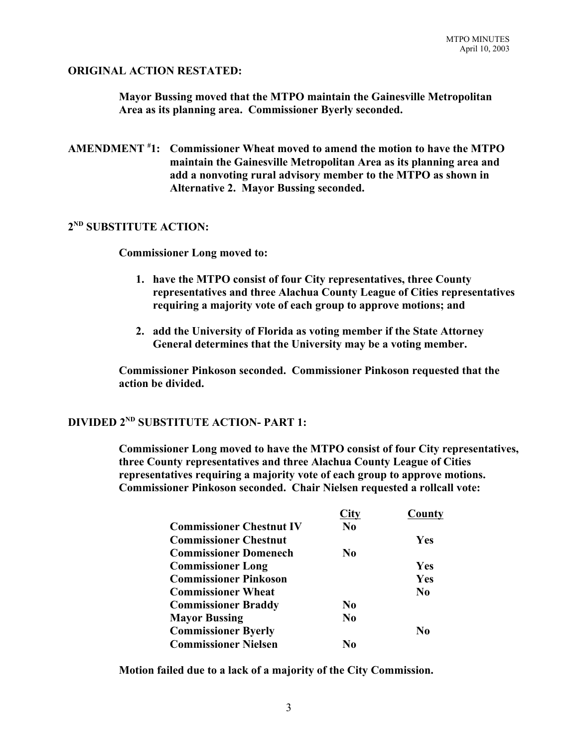### **ORIGINAL ACTION RESTATED:**

**Mayor Bussing moved that the MTPO maintain the Gainesville Metropolitan Area as its planning area. Commissioner Byerly seconded.** 

**AMENDMENT # 1: Commissioner Wheat moved to amend the motion to have the MTPO maintain the Gainesville Metropolitan Area as its planning area and add a nonvoting rural advisory member to the MTPO as shown in Alternative 2. Mayor Bussing seconded.**

## **2ND SUBSTITUTE ACTION:**

**Commissioner Long moved to:**

- **1. have the MTPO consist of four City representatives, three County representatives and three Alachua County League of Cities representatives requiring a majority vote of each group to approve motions; and**
- **2. add the University of Florida as voting member if the State Attorney General determines that the University may be a voting member.**

**Commissioner Pinkoson seconded. Commissioner Pinkoson requested that the action be divided.**

# **DIVIDED 2ND SUBSTITUTE ACTION- PART 1:**

**Commissioner Long moved to have the MTPO consist of four City representatives, three County representatives and three Alachua County League of Cities representatives requiring a majority vote of each group to approve motions. Commissioner Pinkoson seconded. Chair Nielsen requested a rollcall vote:**

|                                 | City           | County         |
|---------------------------------|----------------|----------------|
| <b>Commissioner Chestnut IV</b> | $\bf No$       |                |
| <b>Commissioner Chestnut</b>    |                | Yes            |
| <b>Commissioner Domenech</b>    | N <sub>0</sub> |                |
| <b>Commissioner Long</b>        |                | Yes            |
| <b>Commissioner Pinkoson</b>    |                | Yes            |
| <b>Commissioner Wheat</b>       |                | N <sub>0</sub> |
| <b>Commissioner Braddy</b>      | N <sub>0</sub> |                |
| <b>Mayor Bussing</b>            | N <sub>0</sub> |                |
| <b>Commissioner Byerly</b>      |                | No             |
| <b>Commissioner Nielsen</b>     | No             |                |

**Motion failed due to a lack of a majority of the City Commission.**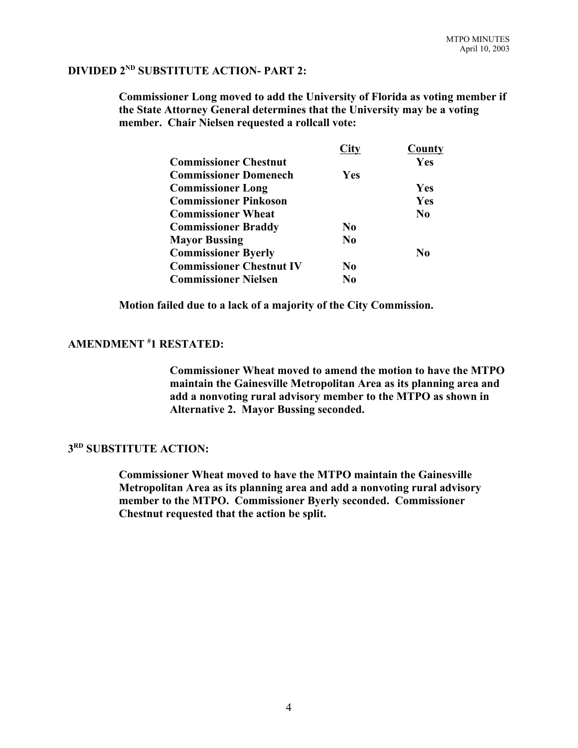# **DIVIDED 2ND SUBSTITUTE ACTION- PART 2:**

**Commissioner Long moved to add the University of Florida as voting member if the State Attorney General determines that the University may be a voting member. Chair Nielsen requested a rollcall vote:**

|                                 | City           | County         |
|---------------------------------|----------------|----------------|
| <b>Commissioner Chestnut</b>    |                | Yes            |
| <b>Commissioner Domenech</b>    | Yes            |                |
| <b>Commissioner Long</b>        |                | Yes            |
| <b>Commissioner Pinkoson</b>    |                | Yes            |
| <b>Commissioner Wheat</b>       |                | N <sub>0</sub> |
| <b>Commissioner Braddy</b>      | N <sub>0</sub> |                |
| <b>Mayor Bussing</b>            | N <sub>0</sub> |                |
| <b>Commissioner Byerly</b>      |                | No             |
| <b>Commissioner Chestnut IV</b> | N <sub>0</sub> |                |
| <b>Commissioner Nielsen</b>     | No             |                |

**Motion failed due to a lack of a majority of the City Commission.**

#### **AMENDMENT # 1 RESTATED:**

**Commissioner Wheat moved to amend the motion to have the MTPO maintain the Gainesville Metropolitan Area as its planning area and add a nonvoting rural advisory member to the MTPO as shown in Alternative 2. Mayor Bussing seconded.**

# **3RD SUBSTITUTE ACTION:**

**Commissioner Wheat moved to have the MTPO maintain the Gainesville Metropolitan Area as its planning area and add a nonvoting rural advisory member to the MTPO. Commissioner Byerly seconded. Commissioner Chestnut requested that the action be split.**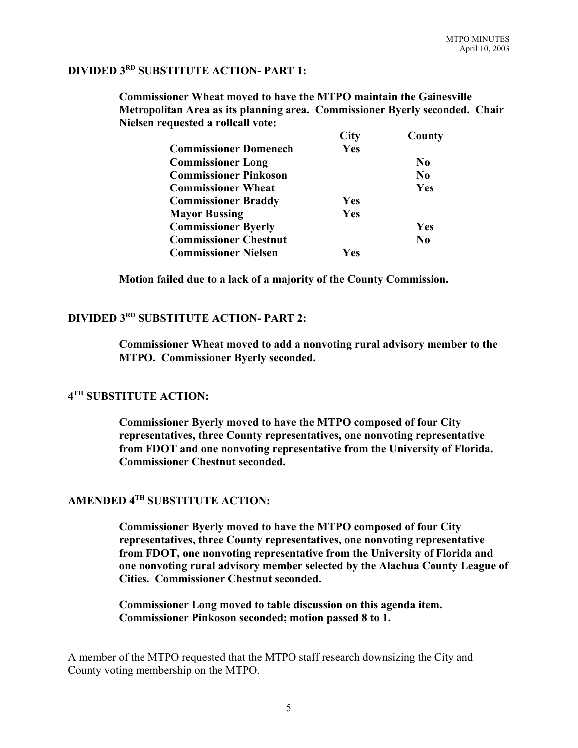# **DIVIDED 3RD SUBSTITUTE ACTION- PART 1:**

**Commissioner Wheat moved to have the MTPO maintain the Gainesville Metropolitan Area as its planning area. Commissioner Byerly seconded. Chair Nielsen requested a rollcall vote:**

|                              |            | County         |
|------------------------------|------------|----------------|
| <b>Commissioner Domenech</b> | Yes        |                |
| <b>Commissioner Long</b>     |            | N <sub>0</sub> |
| <b>Commissioner Pinkoson</b> |            | N <sub>0</sub> |
| <b>Commissioner Wheat</b>    |            | <b>Yes</b>     |
| <b>Commissioner Braddy</b>   | <b>Yes</b> |                |
| <b>Mayor Bussing</b>         | Yes        |                |
| <b>Commissioner Byerly</b>   |            | <b>Yes</b>     |
| <b>Commissioner Chestnut</b> |            | N <sub>0</sub> |
| <b>Commissioner Nielsen</b>  | Yes        |                |

**Motion failed due to a lack of a majority of the County Commission.**

# **DIVIDED 3RD SUBSTITUTE ACTION- PART 2:**

**Commissioner Wheat moved to add a nonvoting rural advisory member to the MTPO. Commissioner Byerly seconded.**

# **4TH SUBSTITUTE ACTION:**

**Commissioner Byerly moved to have the MTPO composed of four City representatives, three County representatives, one nonvoting representative from FDOT and one nonvoting representative from the University of Florida. Commissioner Chestnut seconded.**

### **AMENDED 4TH SUBSTITUTE ACTION:**

**Commissioner Byerly moved to have the MTPO composed of four City representatives, three County representatives, one nonvoting representative from FDOT, one nonvoting representative from the University of Florida and one nonvoting rural advisory member selected by the Alachua County League of Cities. Commissioner Chestnut seconded.**

**Commissioner Long moved to table discussion on this agenda item. Commissioner Pinkoson seconded; motion passed 8 to 1.**

A member of the MTPO requested that the MTPO staff research downsizing the City and County voting membership on the MTPO.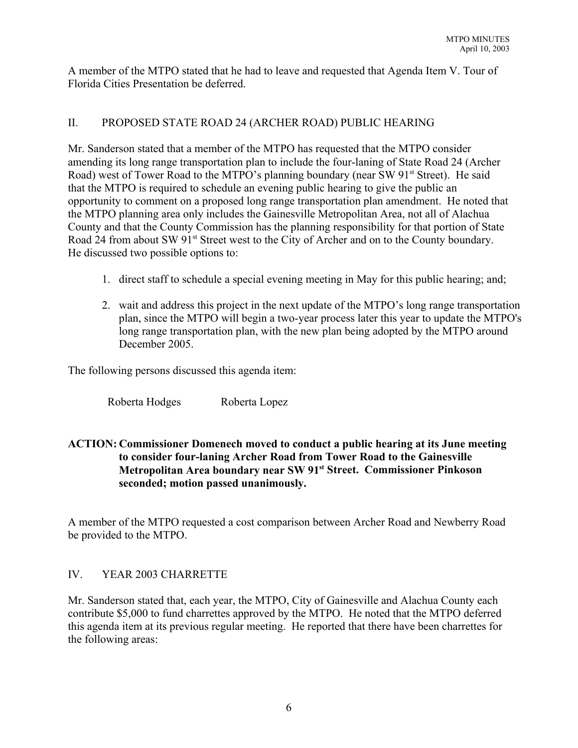A member of the MTPO stated that he had to leave and requested that Agenda Item V. Tour of Florida Cities Presentation be deferred.

## II. PROPOSED STATE ROAD 24 (ARCHER ROAD) PUBLIC HEARING

Mr. Sanderson stated that a member of the MTPO has requested that the MTPO consider amending its long range transportation plan to include the four-laning of State Road 24 (Archer Road) west of Tower Road to the MTPO's planning boundary (near SW 91<sup>st</sup> Street). He said that the MTPO is required to schedule an evening public hearing to give the public an opportunity to comment on a proposed long range transportation plan amendment. He noted that the MTPO planning area only includes the Gainesville Metropolitan Area, not all of Alachua County and that the County Commission has the planning responsibility for that portion of State Road 24 from about SW 91<sup>st</sup> Street west to the City of Archer and on to the County boundary. He discussed two possible options to:

- 1. direct staff to schedule a special evening meeting in May for this public hearing; and;
- 2. wait and address this project in the next update of the MTPO's long range transportation plan, since the MTPO will begin a two-year process later this year to update the MTPO's long range transportation plan, with the new plan being adopted by the MTPO around December 2005.

The following persons discussed this agenda item:

Roberta Hodges Roberta Lopez

## **ACTION: Commissioner Domenech moved to conduct a public hearing at its June meeting to consider four-laning Archer Road from Tower Road to the Gainesville Metropolitan Area boundary near SW 91st Street. Commissioner Pinkoson seconded; motion passed unanimously.**

A member of the MTPO requested a cost comparison between Archer Road and Newberry Road be provided to the MTPO.

### IV. YEAR 2003 CHARRETTE

Mr. Sanderson stated that, each year, the MTPO, City of Gainesville and Alachua County each contribute \$5,000 to fund charrettes approved by the MTPO. He noted that the MTPO deferred this agenda item at its previous regular meeting. He reported that there have been charrettes for the following areas: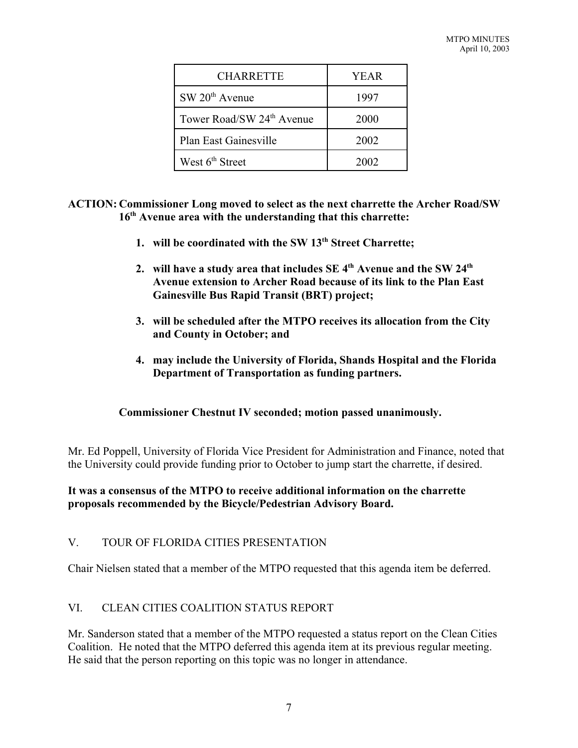| <b>CHARRETTE</b>                      | YEAR |
|---------------------------------------|------|
| SW 20 <sup>th</sup> Avenue            | 1997 |
| Tower Road/SW 24 <sup>th</sup> Avenue | 2000 |
| Plan East Gainesville                 | 2002 |
| West 6 <sup>th</sup> Street           | 2002 |

**ACTION: Commissioner Long moved to select as the next charrette the Archer Road/SW 16th Avenue area with the understanding that this charrette:**

- **1. will be coordinated with the SW 13th Street Charrette;**
- **2. will have a study area that includes SE 4th Avenue and the SW 24th Avenue extension to Archer Road because of its link to the Plan East Gainesville Bus Rapid Transit (BRT) project;**
- **3. will be scheduled after the MTPO receives its allocation from the City and County in October; and**
- **4. may include the University of Florida, Shands Hospital and the Florida Department of Transportation as funding partners.**

### **Commissioner Chestnut IV seconded; motion passed unanimously.**

Mr. Ed Poppell, University of Florida Vice President for Administration and Finance, noted that the University could provide funding prior to October to jump start the charrette, if desired.

## **It was a consensus of the MTPO to receive additional information on the charrette proposals recommended by the Bicycle/Pedestrian Advisory Board.**

# V. TOUR OF FLORIDA CITIES PRESENTATION

Chair Nielsen stated that a member of the MTPO requested that this agenda item be deferred.

# VI. CLEAN CITIES COALITION STATUS REPORT

Mr. Sanderson stated that a member of the MTPO requested a status report on the Clean Cities Coalition. He noted that the MTPO deferred this agenda item at its previous regular meeting. He said that the person reporting on this topic was no longer in attendance.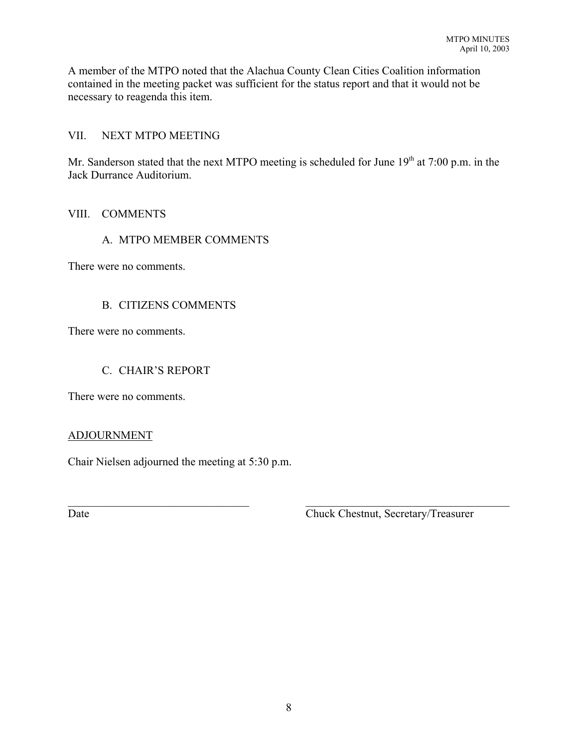A member of the MTPO noted that the Alachua County Clean Cities Coalition information contained in the meeting packet was sufficient for the status report and that it would not be necessary to reagenda this item.

## VII. NEXT MTPO MEETING

Mr. Sanderson stated that the next MTPO meeting is scheduled for June  $19<sup>th</sup>$  at 7:00 p.m. in the Jack Durrance Auditorium.

## VIII. COMMENTS

## A. MTPO MEMBER COMMENTS

There were no comments.

# B. CITIZENS COMMENTS

There were no comments.

## C. CHAIR'S REPORT

There were no comments.

### ADJOURNMENT

Chair Nielsen adjourned the meeting at 5:30 p.m.

Date Chuck Chestnut, Secretary/Treasurer

 $\mathcal{L}_\text{max}$  , and the contribution of the contribution of the contribution of the contribution of the contribution of the contribution of the contribution of the contribution of the contribution of the contribution of t